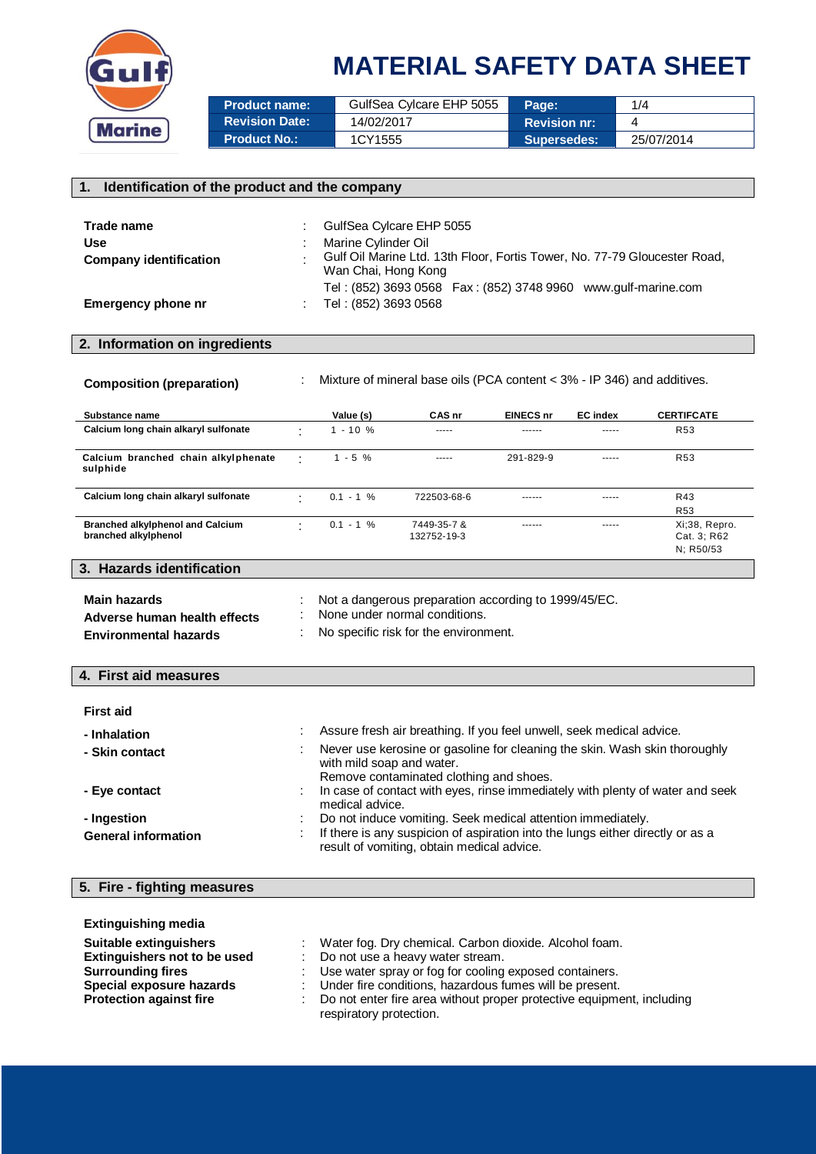

# **MATERIAL SAFETY DATA SHEET**

| <b>Product name:</b>  | GulfSea Cylcare EHP 5055 | Page:               | 1/4        |
|-----------------------|--------------------------|---------------------|------------|
| <b>Revision Date:</b> | 14/02/2017               | <b>Revision nr:</b> |            |
| <b>Product No.:</b>   | 1CY1555                  | <b>Supersedes:</b>  | 25/07/2014 |

| 1.<br>Identification of the product and the company                                    |                                                                                                                                                                                                                                                |                           |                                                                                                                                                                                             |                  |                 |                                                                               |
|----------------------------------------------------------------------------------------|------------------------------------------------------------------------------------------------------------------------------------------------------------------------------------------------------------------------------------------------|---------------------------|---------------------------------------------------------------------------------------------------------------------------------------------------------------------------------------------|------------------|-----------------|-------------------------------------------------------------------------------|
| Trade name<br><b>Use</b><br><b>Company identification</b><br><b>Emergency phone nr</b> | GulfSea Cylcare EHP 5055<br>Marine Cylinder Oil<br>Gulf Oil Marine Ltd. 13th Floor, Fortis Tower, No. 77-79 Gloucester Road,<br>Wan Chai, Hong Kong<br>Tel: (852) 3693 0568  Fax: (852) 3748 9960  www.gulf-marine.com<br>Tel: (852) 3693 0568 |                           |                                                                                                                                                                                             |                  |                 |                                                                               |
| 2. Information on ingredients                                                          |                                                                                                                                                                                                                                                |                           |                                                                                                                                                                                             |                  |                 |                                                                               |
| <b>Composition (preparation)</b>                                                       |                                                                                                                                                                                                                                                |                           | Mixture of mineral base oils (PCA content < 3% - IP 346) and additives.                                                                                                                     |                  |                 |                                                                               |
| Substance name                                                                         |                                                                                                                                                                                                                                                | Value (s)                 | CAS nr                                                                                                                                                                                      | <b>EINECS nr</b> | <b>EC</b> index | <b>CERTIFCATE</b>                                                             |
| Calcium long chain alkaryl sulfonate                                                   |                                                                                                                                                                                                                                                | $1 - 10 %$                |                                                                                                                                                                                             | ------           |                 | R <sub>53</sub>                                                               |
| Calcium branched chain alkylphenate<br>sulphide                                        | ÷                                                                                                                                                                                                                                              | $1 - 5 %$                 | $- - - - -$                                                                                                                                                                                 | 291-829-9        | -----           | <b>R53</b>                                                                    |
| Calcium long chain alkaryl sulfonate                                                   |                                                                                                                                                                                                                                                | $0.1 - 1 %$               | 722503-68-6                                                                                                                                                                                 |                  | -----           | R43<br><b>R53</b>                                                             |
| <b>Branched alkylphenol and Calcium</b><br>branched alkylphenol                        | ٠                                                                                                                                                                                                                                              | $0.1 - 1 %$               | 7449-35-7 &<br>132752-19-3                                                                                                                                                                  | ------           | -----           | Xi;38, Repro.<br>Cat. 3; R62<br>N; R50/53                                     |
| 3. Hazards identification                                                              |                                                                                                                                                                                                                                                |                           |                                                                                                                                                                                             |                  |                 |                                                                               |
| <b>Main hazards</b><br>Adverse human health effects<br><b>Environmental hazards</b>    |                                                                                                                                                                                                                                                |                           | Not a dangerous preparation according to 1999/45/EC.<br>None under normal conditions.<br>No specific risk for the environment.                                                              |                  |                 |                                                                               |
| 4. First aid measures                                                                  |                                                                                                                                                                                                                                                |                           |                                                                                                                                                                                             |                  |                 |                                                                               |
| <b>First aid</b><br>- Inhalation<br>- Skin contact                                     |                                                                                                                                                                                                                                                | with mild soap and water. | Assure fresh air breathing. If you feel unwell, seek medical advice.<br>Never use kerosine or gasoline for cleaning the skin. Wash skin thoroughly                                          |                  |                 |                                                                               |
| Eye contact                                                                            |                                                                                                                                                                                                                                                | medical advice.           | Remove contaminated clothing and shoes.                                                                                                                                                     |                  |                 | In case of contact with eyes, rinse immediately with plenty of water and seek |
| - Ingestion<br><b>General information</b>                                              |                                                                                                                                                                                                                                                |                           | Do not induce vomiting. Seek medical attention immediately.<br>If there is any suspicion of aspiration into the lungs either directly or as a<br>result of vomiting, obtain medical advice. |                  |                 |                                                                               |
| 5. Fire - fighting measures                                                            |                                                                                                                                                                                                                                                |                           |                                                                                                                                                                                             |                  |                 |                                                                               |
| <b>Extinguishing media</b><br>Suitable extinguishers<br>Fotbasodekean wet te ke oekd   |                                                                                                                                                                                                                                                |                           | Water fog. Dry chemical. Carbon dioxide. Alcohol foam.<br>$\sim$                                                                                                                            |                  |                 |                                                                               |

respiratory protection.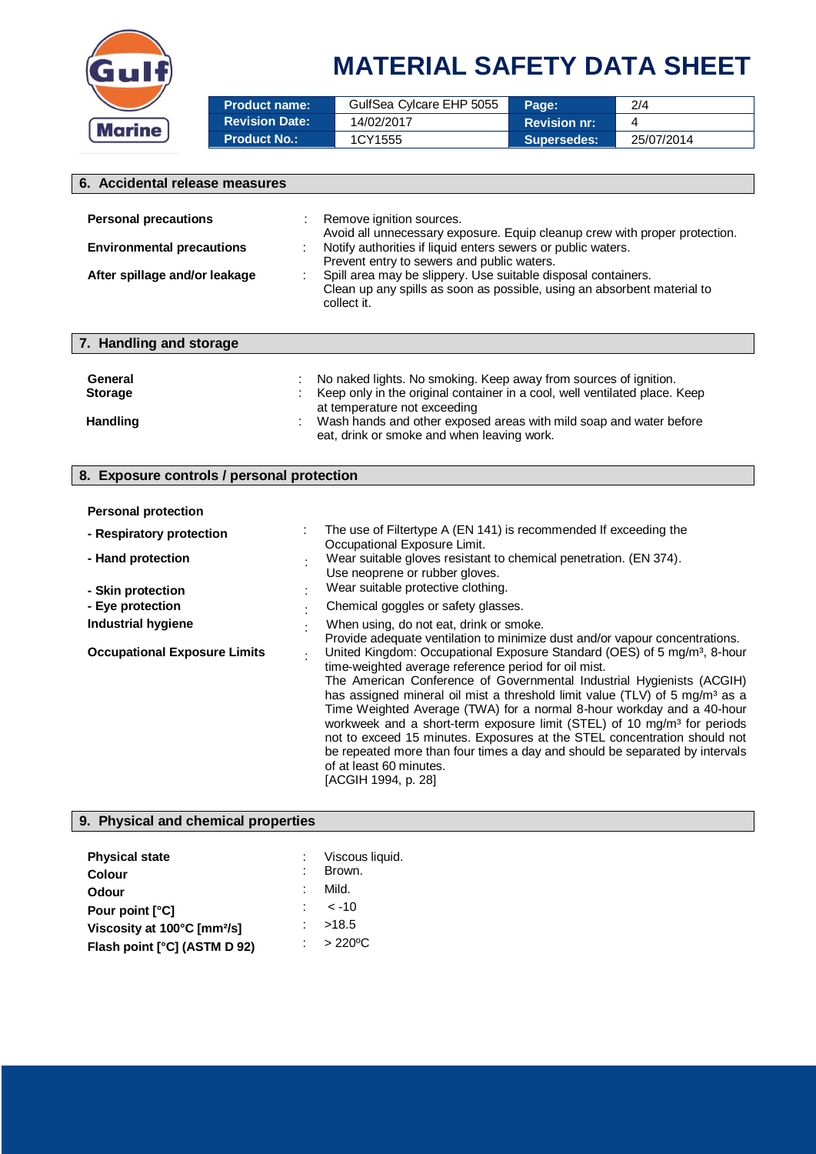

# **MATERIAL SAFETY DATA SHEET**

| <b>Product name:</b>  | GulfSea Cylcare EHP 5055 | Page:               | 2/4        |
|-----------------------|--------------------------|---------------------|------------|
| <b>Revision Date:</b> | 14/02/2017               | <b>Revision nr:</b> |            |
| <b>Product No.:</b>   | 1CY1555                  | <b>Supersedes:</b>  | 25/07/2014 |

| 6. Accidental release measures             |                                                                                                                                                         |  |  |  |
|--------------------------------------------|---------------------------------------------------------------------------------------------------------------------------------------------------------|--|--|--|
|                                            |                                                                                                                                                         |  |  |  |
| <b>Personal precautions</b>                | Remove ignition sources.<br>Avoid all unnecessary exposure. Equip cleanup crew with proper protection.                                                  |  |  |  |
| <b>Environmental precautions</b>           | Notify authorities if liquid enters sewers or public waters.<br>Prevent entry to sewers and public waters.                                              |  |  |  |
| After spillage and/or leakage              | Spill area may be slippery. Use suitable disposal containers.<br>Clean up any spills as soon as possible, using an absorbent material to<br>collect it. |  |  |  |
| 7. Handling and storage                    |                                                                                                                                                         |  |  |  |
| General                                    | No naked lights. No smoking. Keep away from sources of ignition.                                                                                        |  |  |  |
| <b>Storage</b>                             | Keep only in the original container in a cool, well ventilated place. Keep<br>at temperature not exceeding                                              |  |  |  |
| <b>Handling</b>                            | Wash hands and other exposed areas with mild soap and water before<br>eat, drink or smoke and when leaving work.                                        |  |  |  |
| 8. Exposure controls / personal protection |                                                                                                                                                         |  |  |  |

### **Personal protection**

| - Respiratory protection                 | The use of Filtertype A (EN 141) is recommended If exceeding the<br>Occupational Exposure Limit.                                                                                                                                                                                                                                                                                                                                                                                                                                                                                                                                                                                              |
|------------------------------------------|-----------------------------------------------------------------------------------------------------------------------------------------------------------------------------------------------------------------------------------------------------------------------------------------------------------------------------------------------------------------------------------------------------------------------------------------------------------------------------------------------------------------------------------------------------------------------------------------------------------------------------------------------------------------------------------------------|
| - Hand protection                        | Wear suitable gloves resistant to chemical penetration. (EN 374).<br>Use neoprene or rubber gloves.<br>Wear suitable protective clothing.                                                                                                                                                                                                                                                                                                                                                                                                                                                                                                                                                     |
| - Skin protection                        |                                                                                                                                                                                                                                                                                                                                                                                                                                                                                                                                                                                                                                                                                               |
| - Eye protection                         | Chemical goggles or safety glasses.                                                                                                                                                                                                                                                                                                                                                                                                                                                                                                                                                                                                                                                           |
| Industrial hygiene                       | When using, do not eat, drink or smoke.<br>Provide adequate ventilation to minimize dust and/or vapour concentrations.                                                                                                                                                                                                                                                                                                                                                                                                                                                                                                                                                                        |
| <b>Occupational Exposure Limits</b><br>٠ | United Kingdom: Occupational Exposure Standard (OES) of 5 mg/m <sup>3</sup> , 8-hour<br>time-weighted average reference period for oil mist.<br>The American Conference of Governmental Industrial Hygienists (ACGIH)<br>has assigned mineral oil mist a threshold limit value (TLV) of 5 mg/m <sup>3</sup> as a<br>Time Weighted Average (TWA) for a normal 8-hour workday and a 40-hour<br>workweek and a short-term exposure limit (STEL) of 10 mg/m <sup>3</sup> for periods<br>not to exceed 15 minutes. Exposures at the STEL concentration should not<br>be repeated more than four times a day and should be separated by intervals<br>of at least 60 minutes.<br>[ACGIH 1994, p. 28] |

### **9. Physical and chemical properties**

| <b>Physical state</b>                   | : Viscous liquid.     |
|-----------------------------------------|-----------------------|
| <b>Colour</b>                           | Brown.                |
| <b>Odour</b>                            | Mild.                 |
| Pour point [°C]                         | $\leq$ -10            |
| Viscosity at 100°C [mm <sup>2</sup> /s] | >18.5                 |
| Flash point [°C] (ASTM D 92)            | $\therefore$ > 220 °C |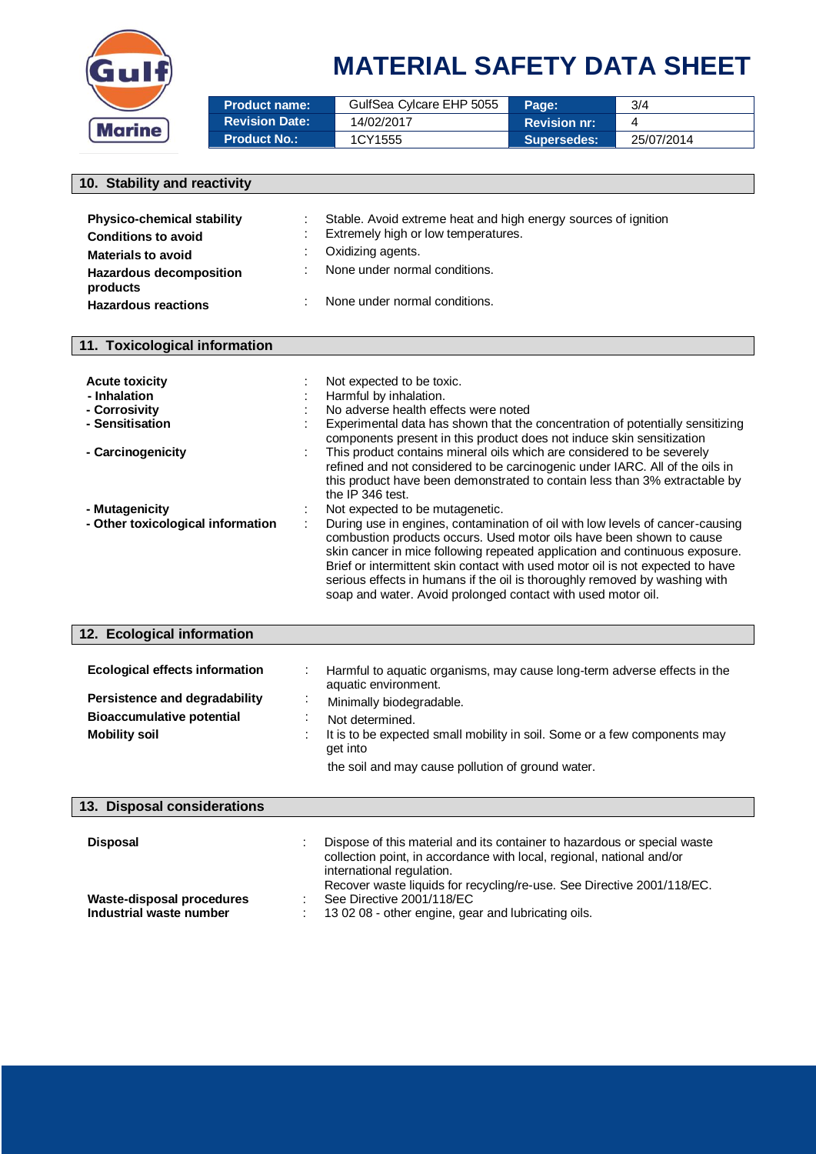

## **MATERIAL SAFETY DATA SHEET**

| <b>Product name:</b>  | GulfSea Cylcare EHP 5055 | <b>Page:</b>        | 3/4        |
|-----------------------|--------------------------|---------------------|------------|
| <b>Revision Date:</b> | 14/02/2017               | <b>Revision nr:</b> |            |
| Product No.: \        | 1CY1555                  | <b>Supersedes:</b>  | 25/07/2014 |

### **10. Stability and reactivity**

| <b>Physico-chemical stability</b><br><b>Conditions to avoid</b> | Stable. Avoid extreme heat and high energy sources of ignition<br>Extremely high or low temperatures. |
|-----------------------------------------------------------------|-------------------------------------------------------------------------------------------------------|
| <b>Materials to avoid</b>                                       | Oxidizing agents.                                                                                     |
| <b>Hazardous decomposition</b><br>products                      | None under normal conditions.                                                                         |
| <b>Hazardous reactions</b>                                      | None under normal conditions.                                                                         |

### **11. Toxicological information**

| <b>Acute toxicity</b><br>- Inhalation<br>- Corrosivity<br>- Sensitisation | Not expected to be toxic.<br>Harmful by inhalation.<br>No adverse health effects were noted<br>Experimental data has shown that the concentration of potentially sensitizing<br>components present in this product does not induce skin sensitization                                                                                                                                                                                   |
|---------------------------------------------------------------------------|-----------------------------------------------------------------------------------------------------------------------------------------------------------------------------------------------------------------------------------------------------------------------------------------------------------------------------------------------------------------------------------------------------------------------------------------|
| - Carcinogenicity                                                         | This product contains mineral oils which are considered to be severely<br>refined and not considered to be carcinogenic under IARC. All of the oils in<br>this product have been demonstrated to contain less than 3% extractable by<br>the IP 346 test.                                                                                                                                                                                |
| - Mutagenicity<br>- Other toxicological information                       | Not expected to be mutagenetic.<br>During use in engines, contamination of oil with low levels of cancer-causing<br>combustion products occurs. Used motor oils have been shown to cause<br>skin cancer in mice following repeated application and continuous exposure.<br>Brief or intermittent skin contact with used motor oil is not expected to have<br>serious effects in humans if the oil is thoroughly removed by washing with |

soap and water. Avoid prolonged contact with used motor oil.

| 12. Ecological information            |                                                                                                  |
|---------------------------------------|--------------------------------------------------------------------------------------------------|
| <b>Ecological effects information</b> | Harmful to aquatic organisms, may cause long-term adverse effects in the<br>aquatic environment. |
| Persistence and degradability         | Minimally biodegradable.<br>$\cdot$                                                              |
| <b>Bioaccumulative potential</b>      | Not determined.                                                                                  |
| <b>Mobility soil</b>                  | It is to be expected small mobility in soil. Some or a few components may<br>get into            |
|                                       | the soil and may cause pollution of ground water.                                                |
|                                       |                                                                                                  |

| <b>Disposal</b>                                      | Dispose of this material and its container to hazardous or special waste<br>collection point, in accordance with local, regional, national and/or<br>international regulation.<br>Recover waste liquids for recycling/re-use. See Directive 2001/118/EC. |
|------------------------------------------------------|----------------------------------------------------------------------------------------------------------------------------------------------------------------------------------------------------------------------------------------------------------|
| Waste-disposal procedures<br>Industrial waste number | See Directive 2001/118/EC<br>: 13 02 08 - other engine, gear and lubricating oils.                                                                                                                                                                       |